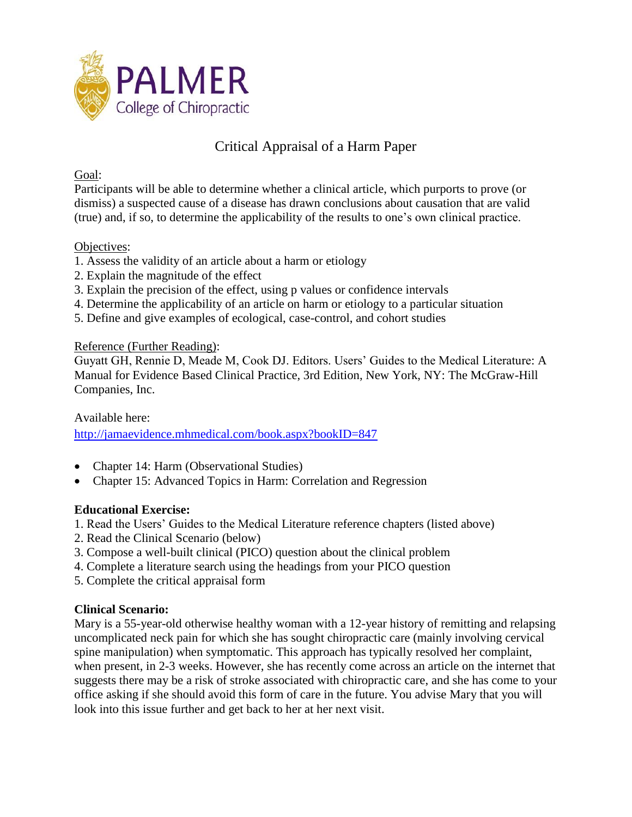

## Critical Appraisal of a Harm Paper

### Goal:

Participants will be able to determine whether a clinical article, which purports to prove (or dismiss) a suspected cause of a disease has drawn conclusions about causation that are valid (true) and, if so, to determine the applicability of the results to one's own clinical practice.

### Objectives:

- 1. Assess the validity of an article about a harm or etiology
- 2. Explain the magnitude of the effect
- 3. Explain the precision of the effect, using p values or confidence intervals
- 4. Determine the applicability of an article on harm or etiology to a particular situation
- 5. Define and give examples of ecological, case-control, and cohort studies

### Reference (Further Reading):

Guyatt GH, Rennie D, Meade M, Cook DJ. Editors. Users' Guides to the Medical Literature: A Manual for Evidence Based Clinical Practice, 3rd Edition, New York, NY: The McGraw-Hill Companies, Inc.

Available here:

<http://jamaevidence.mhmedical.com/book.aspx?bookID=847>

- Chapter 14: Harm (Observational Studies)
- Chapter 15: Advanced Topics in Harm: Correlation and Regression

### **Educational Exercise:**

- 1. Read the Users' Guides to the Medical Literature reference chapters (listed above)
- 2. Read the Clinical Scenario (below)
- 3. Compose a well-built clinical (PICO) question about the clinical problem
- 4. Complete a literature search using the headings from your PICO question
- 5. Complete the critical appraisal form

### **Clinical Scenario:**

Mary is a 55-year-old otherwise healthy woman with a 12-year history of remitting and relapsing uncomplicated neck pain for which she has sought chiropractic care (mainly involving cervical spine manipulation) when symptomatic. This approach has typically resolved her complaint, when present, in 2-3 weeks. However, she has recently come across an article on the internet that suggests there may be a risk of stroke associated with chiropractic care, and she has come to your office asking if she should avoid this form of care in the future. You advise Mary that you will look into this issue further and get back to her at her next visit.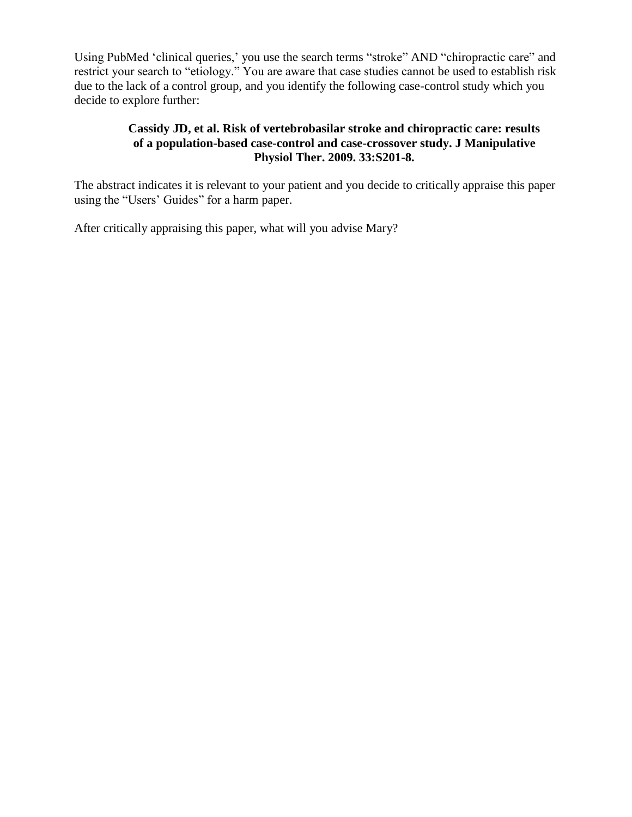Using PubMed 'clinical queries,' you use the search terms "stroke" AND "chiropractic care" and restrict your search to "etiology." You are aware that case studies cannot be used to establish risk due to the lack of a control group, and you identify the following case-control study which you decide to explore further:

### **Cassidy JD, et al. Risk of vertebrobasilar stroke and chiropractic care: results of a population-based case-control and case-crossover study. J Manipulative Physiol Ther. 2009. 33:S201-8.**

The abstract indicates it is relevant to your patient and you decide to critically appraise this paper using the "Users' Guides" for a harm paper.

After critically appraising this paper, what will you advise Mary?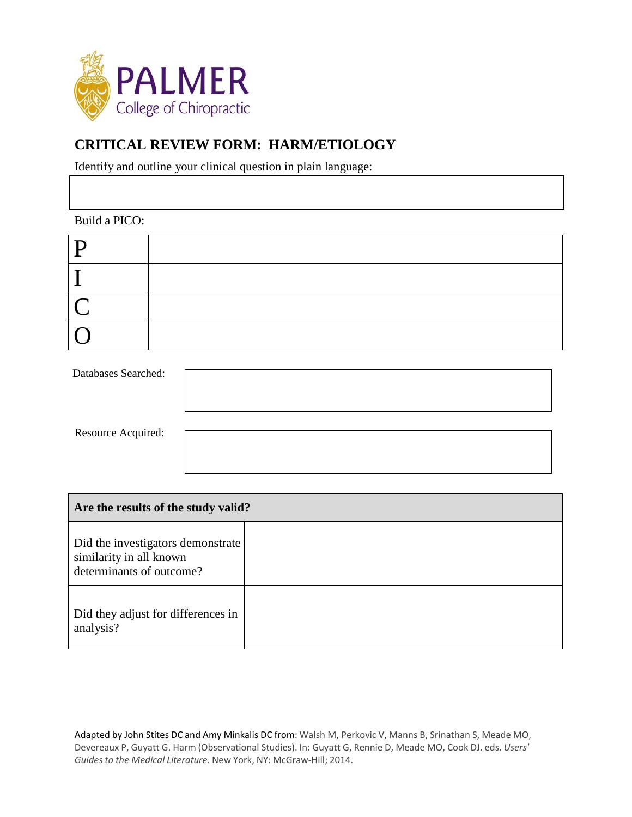

## **CRITICAL REVIEW FORM: HARM/ETIOLOGY**

Identify and outline your clinical question in plain language:

Build a PICO:

| P                        |  |
|--------------------------|--|
|                          |  |
| $\overline{\mathcal{C}}$ |  |
| $\sqrt{2}$               |  |

| Databases Searched:       |  |
|---------------------------|--|
| <b>Resource Acquired:</b> |  |

| Are the results of the study valid?                                                      |  |  |
|------------------------------------------------------------------------------------------|--|--|
| Did the investigators demonstrate<br>similarity in all known<br>determinants of outcome? |  |  |
| Did they adjust for differences in<br>analysis?                                          |  |  |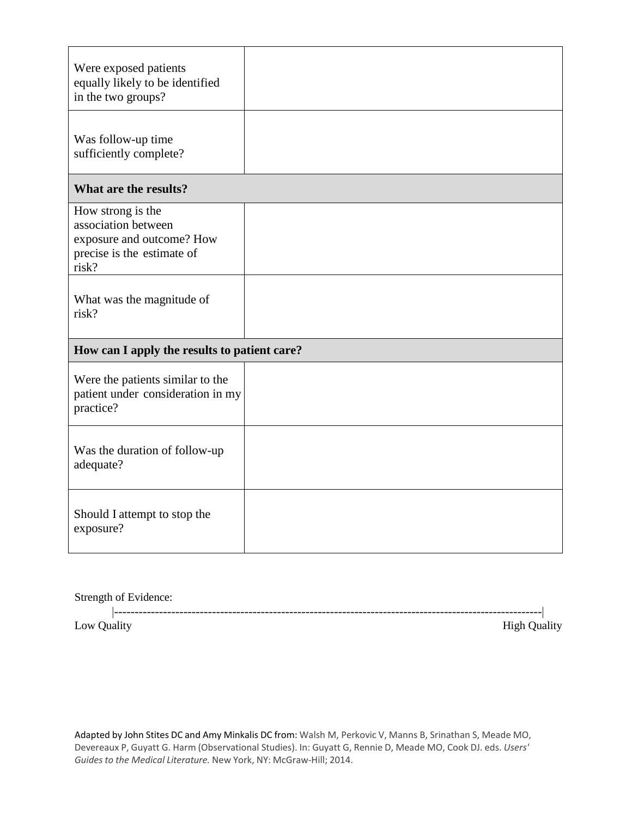| Were exposed patients<br>equally likely to be identified<br>in the two groups?                               |  |
|--------------------------------------------------------------------------------------------------------------|--|
| Was follow-up time<br>sufficiently complete?                                                                 |  |
| What are the results?                                                                                        |  |
| How strong is the<br>association between<br>exposure and outcome? How<br>precise is the estimate of<br>risk? |  |
| What was the magnitude of<br>risk?                                                                           |  |
| How can I apply the results to patient care?                                                                 |  |
| Were the patients similar to the<br>patient under consideration in my<br>practice?                           |  |
| Was the duration of follow-up<br>adequate?                                                                   |  |
| Should I attempt to stop the<br>exposure?                                                                    |  |

|             | Strength of Evidence: |  |
|-------------|-----------------------|--|
| Low Quality | <b>High Quality</b>   |  |
|             |                       |  |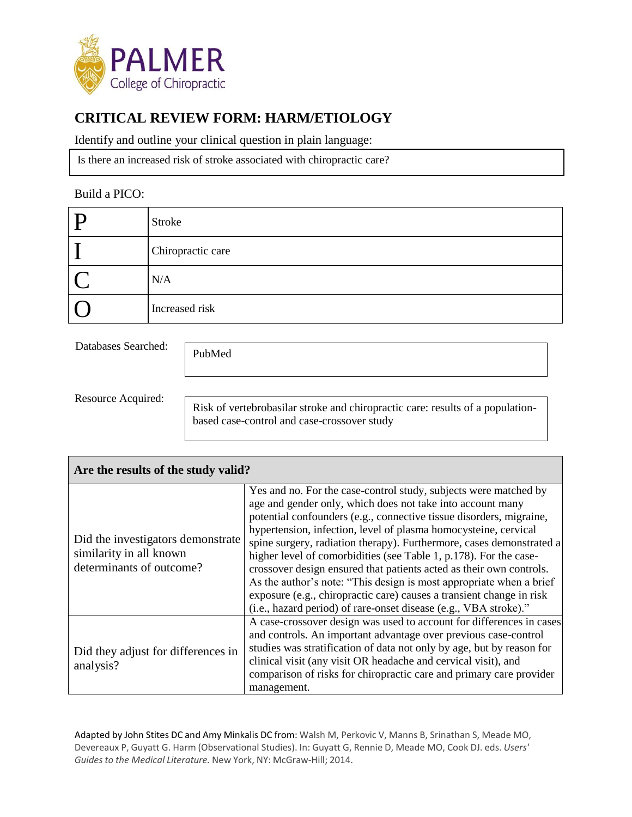

# **CRITICAL REVIEW FORM: HARM/ETIOLOGY**

Identify and outline your clinical question in plain language:

Is there an increased risk of stroke associated with chiropractic care?

#### Build a PICO:

| Stroke            |
|-------------------|
| Chiropractic care |
| N/A               |
| Increased risk    |

Databases Searched:

PubMed

Resource Acquired:

Risk of vertebrobasilar stroke and chiropractic care: results of a populationbased case-control and case-crossover study

| Are the results of the study valid?                                                      |                                                                                                                                                                                                                                                                                                                                                                                                                                                                                                                                                                                                                                                                                                                 |  |
|------------------------------------------------------------------------------------------|-----------------------------------------------------------------------------------------------------------------------------------------------------------------------------------------------------------------------------------------------------------------------------------------------------------------------------------------------------------------------------------------------------------------------------------------------------------------------------------------------------------------------------------------------------------------------------------------------------------------------------------------------------------------------------------------------------------------|--|
| Did the investigators demonstrate<br>similarity in all known<br>determinants of outcome? | Yes and no. For the case-control study, subjects were matched by<br>age and gender only, which does not take into account many<br>potential confounders (e.g., connective tissue disorders, migraine,<br>hypertension, infection, level of plasma homocysteine, cervical<br>spine surgery, radiation therapy). Furthermore, cases demonstrated a<br>higher level of comorbidities (see Table 1, p.178). For the case-<br>crossover design ensured that patients acted as their own controls.<br>As the author's note: "This design is most appropriate when a brief<br>exposure (e.g., chiropractic care) causes a transient change in risk<br>(i.e., hazard period) of rare-onset disease (e.g., VBA stroke)." |  |
| Did they adjust for differences in<br>analysis?                                          | A case-crossover design was used to account for differences in cases<br>and controls. An important advantage over previous case-control<br>studies was stratification of data not only by age, but by reason for<br>clinical visit (any visit OR headache and cervical visit), and<br>comparison of risks for chiropractic care and primary care provider<br>management.                                                                                                                                                                                                                                                                                                                                        |  |